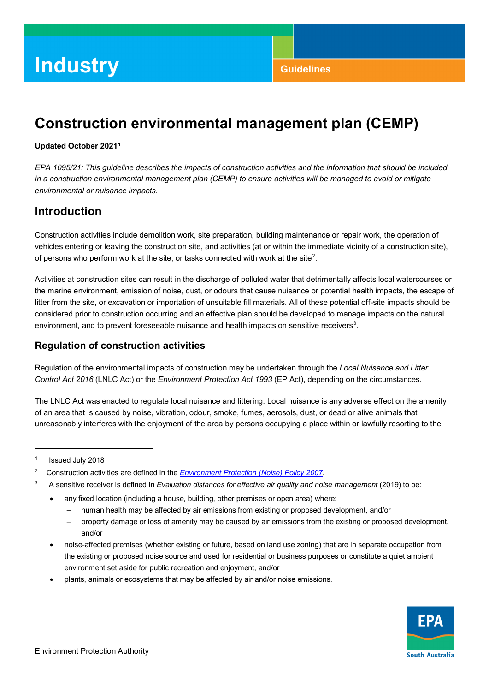# **Construction environmental management plan (CEMP)**

#### **Updated October 2021[1](#page-0-0)**

*EPA 1095/21: This guideline describes the impacts of construction activities and the information that should be included in a construction environmental management plan (CEMP) to ensure activities will be managed to avoid or mitigate environmental or nuisance impacts.* 

## **Introduction**

Construction activities include demolition work, site preparation, building maintenance or repair work, the operation of vehicles entering or leaving the construction site, and activities (at or within the immediate vicinity of a construction site), of persons who perform work at the site, or tasks connected with work at the site<sup>[2](#page-0-1)</sup>.

 the marine environment, emission of noise, dust, or odours that cause nuisance or potential health impacts, the escape of environment, and to prevent foreseeable nuisance and health impacts on sensitive receivers $^3$  $^3$ . Activities at construction sites can result in the discharge of polluted water that detrimentally affects local watercourses or litter from the site, or excavation or importation of unsuitable fill materials. All of these potential off-site impacts should be considered prior to construction occurring and an effective plan should be developed to manage impacts on the natural

### **Regulation of construction activities**

Regulation of the environmental impacts of construction may be undertaken through the *Local Nuisance and Litter Control Act 2016* (LNLC Act) or the *Environment Protection Act 1993* (EP Act), depending on the circumstances.

 of an area that is caused by noise, vibration, odour, smoke, fumes, aerosols, dust, or dead or alive animals that The LNLC Act was enacted to regulate local nuisance and littering. Local nuisance is any adverse effect on the amenity unreasonably interferes with the enjoyment of the area by persons occupying a place within or lawfully resorting to the

1

- <span id="page-0-2"></span> $\overline{3}$ A sensitive receiver is defined in *Evaluation distances for effective air quality and noise management* (2019) to be:
	- • any fixed location (including a house, building, other premises or open area) where:
		- human health may be affected by air emissions from existing or proposed development, and/or
		- – property damage or loss of amenity may be caused by air emissions from the existing or proposed development, and/or
	- • noise-affected premises (whether existing or future, based on land use zoning) that are in separate occupation from the existing or proposed noise source and used for residential or business purposes or constitute a quiet ambient environment set aside for public recreation and enjoyment, and/or
	- plants, animals or ecosystems that may be affected by air and/or noise emissions.



<span id="page-0-0"></span><sup>&</sup>lt;sup>1</sup> Issued July 2018

<span id="page-0-1"></span> $\mathbf 2$ 2 Construction activities are defined in the *[Environment Protection \(Noise\) Policy 2007](http://www.epa.sa.gov.au/data_and_publications/standards_and_laws/environment_protection_noise_policy)*.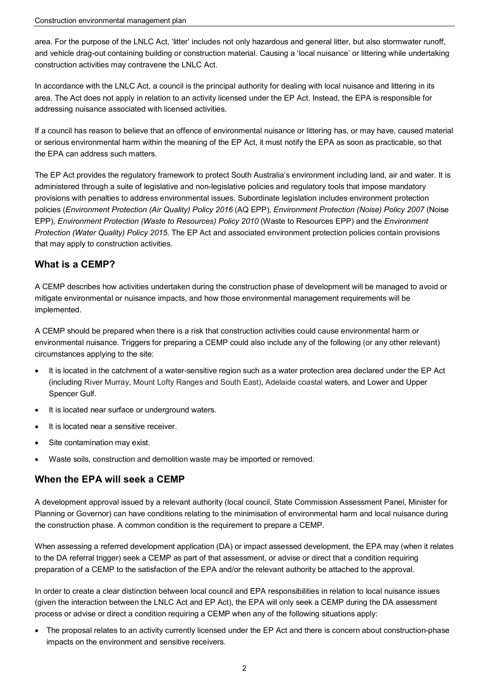area. For the purpose of the LNLC Act, 'litter' includes not only hazardous and general litter, but also stormwater runoff, and vehicle drag-out containing building or construction material. Causing a 'local nuisance' or littering while undertaking construction activities may contravene the LNLC Act.

 In accordance with the LNLC Act, a council is the principal authority for dealing with local nuisance and littering in its area. The Act does not apply in relation to an activity licensed under the EP Act. Instead, the EPA is responsible for addressing nuisance associated with licensed activities.

 or serious environmental harm within the meaning of the EP Act, it must notify the EPA as soon as practicable, so that If a council has reason to believe that an offence of environmental nuisance or littering has, or may have, caused material the EPA can address such matters.

 The EP Act provides the regulatory framework to protect South Australia's environment including land, air and water. It is administered through a suite of legislative and non-legislative policies and regulatory tools that impose mandatory provisions with penalties to address environmental issues. Subordinate legislation includes environment protection policies (*Environment Protection (Air Quality) Policy 2016* (AQ EPP), *Environment Protection (Noise) Policy 2007* (Noise EPP), *Environment Protection (Waste to Resources) Policy 2010* (Waste to Resources EPP) and the *Environment Protection (Water Quality) Policy 2015*. The EP Act and associated environment protection policies contain provisions that may apply to construction activities.

### **What is a CEMP?**

A CEMP describes how activities undertaken during the construction phase of development will be managed to avoid or mitigate environmental or nuisance impacts, and how those environmental management requirements will be implemented.

 A CEMP should be prepared when there is a risk that construction activities could cause environmental harm or environmental nuisance. Triggers for preparing a CEMP could also include any of the following (or any other relevant) circumstances applying to the site:

- It is located in the catchment of a water-sensitive region such as a water protection area declared under the EP Act (including River Murray, Mount Lofty Ranges and South East), Adelaide coastal waters, and Lower and Upper Spencer Gulf.
- It is located near surface or underground waters.
- It is located near a sensitive receiver.
- Site contamination may exist.
- Waste soils, construction and demolition waste may be imported or removed.

### **When the EPA will seek a CEMP**

A development approval issued by a relevant authority (local council, State Commission Assessment Panel, Minister for Planning or Governor) can have conditions relating to the minimisation of environmental harm and local nuisance during the construction phase. A common condition is the requirement to prepare a CEMP.

 When assessing a referred development application (DA) or impact assessed development, the EPA may (when it relates to the DA referral trigger) seek a CEMP as part of that assessment, or advise or direct that a condition requiring preparation of a CEMP to the satisfaction of the EPA and/or the relevant authority be attached to the approval.

 In order to create a clear distinction between local council and EPA responsibilities in relation to local nuisance issues (given the interaction between the LNLC Act and EP Act), the EPA will only seek a CEMP during the DA assessment process or advise or direct a condition requiring a CEMP when any of the following situations apply:

• The proposal relates to an activity currently licensed under the EP Act and there is concern about construction-phase impacts on the environment and sensitive receivers.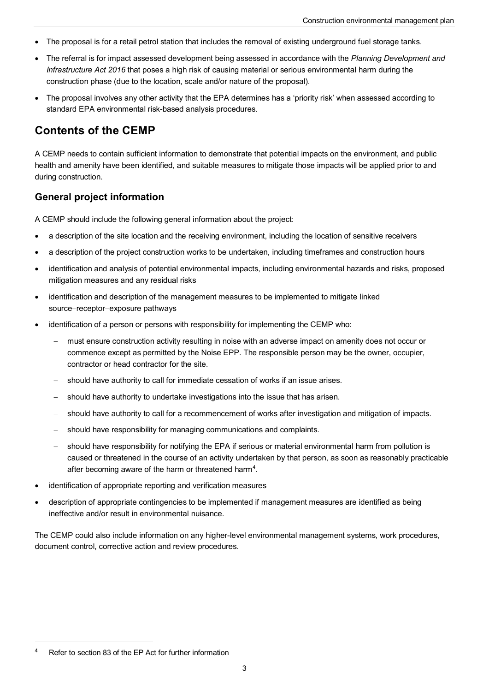- The proposal is for a retail petrol station that includes the removal of existing underground fuel storage tanks.
- The referral is for impact assessed development being assessed in accordance with the *Planning Development and Infrastructure Act 2016* that poses a high risk of causing material or serious environmental harm during the construction phase (due to the location, scale and/or nature of the proposal).
- The proposal involves any other activity that the EPA determines has a 'priority risk' when assessed according to standard EPA environmental risk-based analysis procedures.

## **Contents of the CEMP**

 A CEMP needs to contain sufficient information to demonstrate that potential impacts on the environment, and public health and amenity have been identified, and suitable measures to mitigate those impacts will be applied prior to and during construction.

### **General project information**

A CEMP should include the following general information about the project:

- a description of the site location and the receiving environment, including the location of sensitive receivers
- a description of the project construction works to be undertaken, including timeframes and construction hours
- identification and analysis of potential environmental impacts, including environmental hazards and risks, proposed mitigation measures and any residual risks
- identification and description of the management measures to be implemented to mitigate linked source−receptor−exposure pathways
- identification of a person or persons with responsibility for implementing the CEMP who:
	- must ensure construction activity resulting in noise with an adverse impact on amenity does not occur or commence except as permitted by the Noise EPP. The responsible person may be the owner, occupier, contractor or head contractor for the site.
	- should have authority to call for immediate cessation of works if an issue arises.
	- should have authority to undertake investigations into the issue that has arisen.
	- should have authority to call for a recommencement of works after investigation and mitigation of impacts.
	- should have responsibility for managing communications and complaints.
	- − should have responsibility for notifying the EPA if serious or material environmental harm from pollution is caused or threatened in the course of an activity undertaken by that person, as soon as reasonably practicable after becoming aware of the harm or threatened harm<sup>[4](#page-2-0)</sup>.
- identification of appropriate reporting and verification measures
- description of appropriate contingencies to be implemented if management measures are identified as being ineffective and/or result in environmental nuisance.

The CEMP could also include information on any higher-level environmental management systems, work procedures, document control, corrective action and review procedures.

j

<span id="page-2-0"></span> 4 Refer to section 83 of the EP Act for further information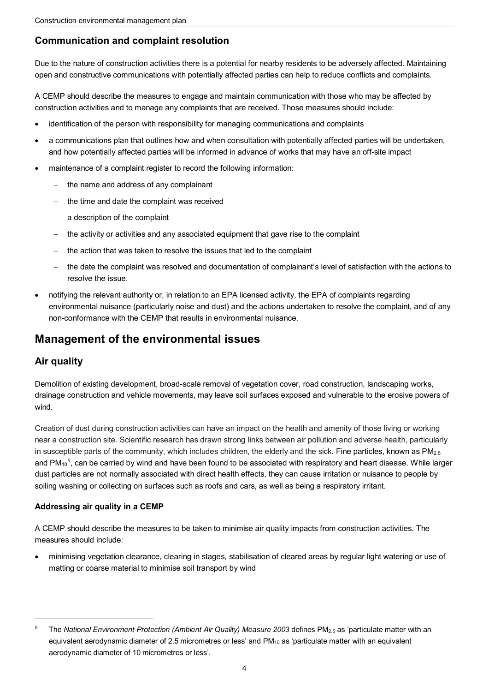## **Communication and complaint resolution**

Due to the nature of construction activities there is a potential for nearby residents to be adversely affected. Maintaining open and constructive communications with potentially affected parties can help to reduce conflicts and complaints.

A CEMP should describe the measures to engage and maintain communication with those who may be affected by construction activities and to manage any complaints that are received. Those measures should include:

- identification of the person with responsibility for managing communications and complaints
- a communications plan that outlines how and when consultation with potentially affected parties will be undertaken, and how potentially affected parties will be informed in advance of works that may have an off-site impact
- maintenance of a complaint register to record the following information:
	- − the name and address of any complainant
	- the time and date the complaint was received
	- a description of the complaint
	- the activity or activities and any associated equipment that gave rise to the complaint
	- the action that was taken to resolve the issues that led to the complaint
	- − the date the complaint was resolved and documentation of complainant's level of satisfaction with the actions to resolve the issue.
- notifying the relevant authority or, in relation to an EPA licensed activity, the EPA of complaints regarding environmental nuisance (particularly noise and dust) and the actions undertaken to resolve the complaint, and of any non-conformance with the CEMP that results in environmental nuisance.

## **Management of the environmental issues**

## **Air quality**

1

 drainage construction and vehicle movements, may leave soil surfaces exposed and vulnerable to the erosive powers of Demolition of existing development, broad-scale removal of vegetation cover, road construction, landscaping works, wind.

 near a construction site. Scientific research has drawn strong links between air pollution and adverse health, particularly in susceptible parts of the community, which includes children, the elderly and the sick. Fine particles, known as PM $_{2.5}$ Creation of dust during construction activities can have an impact on the health and amenity of those living or working and PM $_{\rm 10}$ <sup>[5](#page-3-0)</sup>, can be carried by wind and have been found to be associated with respiratory and heart disease. While larger dust particles are not normally associated with direct health effects, they can cause irritation or nuisance to people by soiling washing or collecting on surfaces such as roofs and cars, as well as being a respiratory irritant.

#### **Addressing air quality in a CEMP**

A CEMP should describe the measures to be taken to minimise air quality impacts from construction activities. The measures should include:

 • minimising vegetation clearance, clearing in stages, stabilisation of cleared areas by regular light watering or use of matting or coarse material to minimise soil transport by wind

<span id="page-3-0"></span> 5 equivalent aerodynamic diameter of 2.5 micrometres or less' and PM<sub>10</sub> as 'particulate matter with an equivalent aerodynamic diameter of 10 micrometres or less'. The *National Environment Protection (Ambient Air Quality) Measure 2003* defines PM2.5 as 'particulate matter with an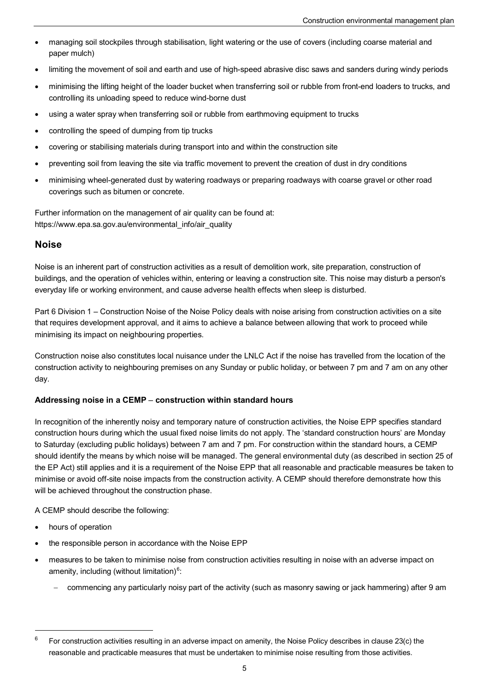- managing soil stockpiles through stabilisation, light watering or the use of covers (including coarse material and paper mulch)
- limiting the movement of soil and earth and use of high-speed abrasive disc saws and sanders during windy periods
- minimising the lifting height of the loader bucket when transferring soil or rubble from front-end loaders to trucks, and controlling its unloading speed to reduce wind-borne dust
- using a water spray when transferring soil or rubble from earthmoving equipment to trucks
- controlling the speed of dumping from tip trucks
- covering or stabilising materials during transport into and within the construction site
- preventing soil from leaving the site via traffic movement to prevent the creation of dust in dry conditions
- minimising wheel-generated dust by watering roadways or preparing roadways with coarse gravel or other road coverings such as bitumen or concrete.

Further information on the management of air quality can be found at: [https://www.epa.sa.gov.au/environmental\\_info/air\\_quality](https://www.epa.sa.gov.au/environmental_info/air_quality) 

### **Noise**

 buildings, and the operation of vehicles within, entering or leaving a construction site. This noise may disturb a person's Noise is an inherent part of construction activities as a result of demolition work, site preparation, construction of everyday life or working environment, and cause adverse health effects when sleep is disturbed.

 Part 6 Division 1 – Construction Noise of the Noise Policy deals with noise arising from construction activities on a site that requires development approval, and it aims to achieve a balance between allowing that work to proceed while minimising its impact on neighbouring properties.

Construction noise also constitutes local nuisance under the LNLC Act if the noise has travelled from the location of the construction activity to neighbouring premises on any Sunday or public holiday, or between 7 pm and 7 am on any other day.

#### **Addressing noise in a CEMP** − **construction within standard hours**

 should identify the means by which noise will be managed. The general environmental duty (as described in section 25 of In recognition of the inherently noisy and temporary nature of construction activities, the Noise EPP specifies standard construction hours during which the usual fixed noise limits do not apply. The 'standard construction hours' are Monday to Saturday (excluding public holidays) between 7 am and 7 pm. For construction within the standard hours, a CEMP the EP Act) still applies and it is a requirement of the Noise EPP that all reasonable and practicable measures be taken to minimise or avoid off-site noise impacts from the construction activity. A CEMP should therefore demonstrate how this will be achieved throughout the construction phase.

A CEMP should describe the following:

• hours of operation

j

- the responsible person in accordance with the Noise EPP
- measures to be taken to minimise noise from construction activities resulting in noise with an adverse impact on amenity, including (without limitation) $6$ :
	- commencing any particularly noisy part of the activity (such as masonry sawing or jack hammering) after 9 am

<span id="page-4-0"></span> For construction activities resulting in an adverse impact on amenity, the Noise Policy describes in clause 23(c) the reasonable and practicable measures that must be undertaken to minimise noise resulting from those activities. 6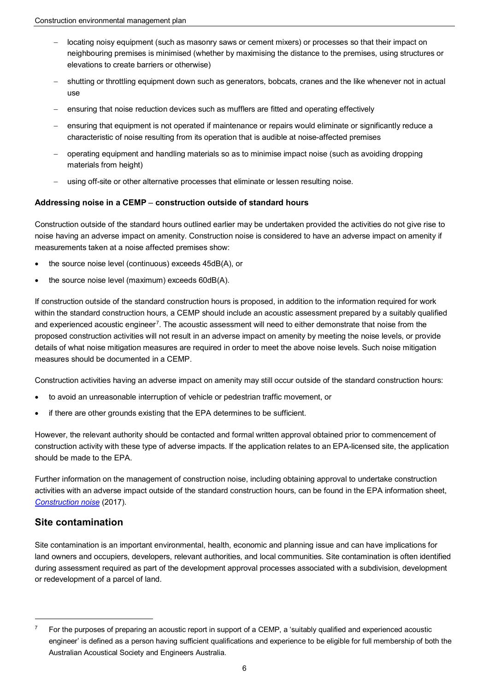- − locating noisy equipment (such as masonry saws or cement mixers) or processes so that their impact on neighbouring premises is minimised (whether by maximising the distance to the premises, using structures or elevations to create barriers or otherwise)
- − shutting or throttling equipment down such as generators, bobcats, cranes and the like whenever not in actual use
- ensuring that noise reduction devices such as mufflers are fitted and operating effectively
- ensuring that equipment is not operated if maintenance or repairs would eliminate or significantly reduce a characteristic of noise resulting from its operation that is audible at noise-affected premises
- − operating equipment and handling materials so as to minimise impact noise (such as avoiding dropping materials from height)
- using off-site or other alternative processes that eliminate or lessen resulting noise.

#### **Addressing noise in a CEMP** − **construction outside of standard hours**

Construction outside of the standard hours outlined earlier may be undertaken provided the activities do not give rise to noise having an adverse impact on amenity. Construction noise is considered to have an adverse impact on amenity if measurements taken at a noise affected premises show:

- the source noise level (continuous) exceeds 45dB(A), or
- the source noise level (maximum) exceeds 60dB(A).

 If construction outside of the standard construction hours is proposed, in addition to the information required for work proposed construction activities will not result in an adverse impact on amenity by meeting the noise levels, or provide within the standard construction hours, a CEMP should include an acoustic assessment prepared by a suitably qualified and experienced acoustic engineer $^7$  $^7$ . The acoustic assessment will need to either demonstrate that noise from the details of what noise mitigation measures are required in order to meet the above noise levels. Such noise mitigation measures should be documented in a CEMP.

Construction activities having an adverse impact on amenity may still occur outside of the standard construction hours:

- to avoid an unreasonable interruption of vehicle or pedestrian traffic movement, or
- if there are other grounds existing that the EPA determines to be sufficient.

However, the relevant authority should be contacted and formal written approval obtained prior to commencement of construction activity with these type of adverse impacts. If the application relates to an EPA-licensed site, the application should be made to the EPA.

 activities with an adverse impact outside of the standard construction hours, can be found in the EPA information sheet, Further information on the management of construction noise, including obtaining approval to undertake construction *[Construction noise](http://www.epa.sa.gov.au/files/4773_info_noise_construction.pdf)* (2017).

#### **Site contamination**

1

 Site contamination is an important environmental, health, economic and planning issue and can have implications for land owners and occupiers, developers, relevant authorities, and local communities. Site contamination is often identified during assessment required as part of the development approval processes associated with a subdivision, development or redevelopment of a parcel of land.

<span id="page-5-0"></span> For the purposes of preparing an acoustic report in support of a CEMP, a 'suitably qualified and experienced acoustic engineer' is defined as a person having sufficient qualifications and experience to be eligible for full membership of both the Australian Acoustical Society and Engineers Australia. 7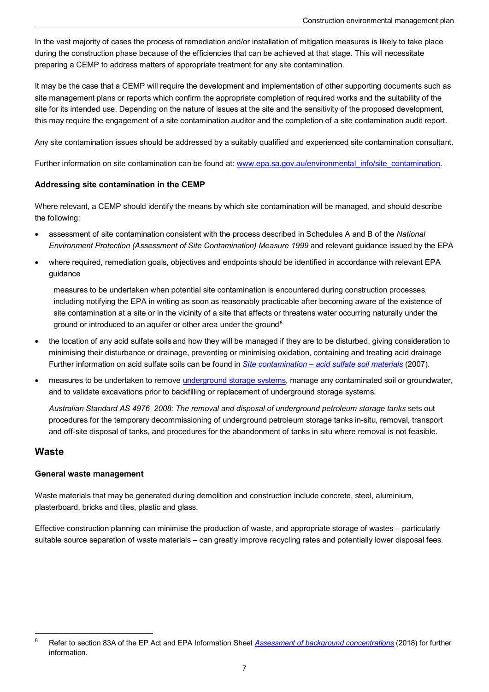In the vast majority of cases the process of remediation and/or installation of mitigation measures is likely to take place during the construction phase because of the efficiencies that can be achieved at that stage. This will necessitate preparing a CEMP to address matters of appropriate treatment for any site contamination.

 It may be the case that a CEMP will require the development and implementation of other supporting documents such as site management plans or reports which confirm the appropriate completion of required works and the suitability of the site for its intended use. Depending on the nature of issues at the site and the sensitivity of the proposed development, this may require the engagement of a site contamination auditor and the completion of a site contamination audit report.

Any site contamination issues should be addressed by a suitably qualified and experienced site contamination consultant.

Further information on site contamination can be found at: www.epa.sa.gov.au/environmental\_info/site\_contamination.

#### **Addressing site contamination in the CEMP**

Where relevant, a CEMP should identify the means by which site contamination will be managed, and should describe the following:

- *Environment Protection (Assessment of Site Contamination) Measure 1999* and relevant guidance issued by the EPA • assessment of site contamination consistent with the process described in Schedules A and B of the *National*
- where required, remediation goals, objectives and endpoints should be identified in accordance with relevant EPA guidance

 including notifying the EPA in writing as soon as reasonably practicable after becoming aware of the existence of measures to be undertaken when potential site contamination is encountered during construction processes, site contamination at a site or in the vicinity of a site that affects or threatens water occurring naturally under the ground or introduced to an aquifer or other area under the ground<sup>[8](#page-6-0)</sup>

- the location of any acid sulfate soils and how they will be managed if they are to be disturbed, giving consideration to minimising their disturbance or drainage, preventing or minimising oxidation, containing and treating acid drainage Further information on acid sulfate soils can be found in *[Site contamination – acid sulfate soil materials](http://www.epa.sa.gov.au/files/8371_guide_sc_acid.pdf)* (2007).
- measures to be undertaken to remove [underground storage systems,](https://www.epa.sa.gov.au/environmental_info/site_contamination/underground-storage-systems) manage any contaminated soil or groundwater, and to validate excavations prior to backfilling or replacement of underground storage systems.

*Australian Standard AS 4976*−*2008: The removal and disposal of underground petroleum storage tanks* sets out procedures for the temporary decommissioning of underground petroleum storage tanks in-situ, removal, transport and off-site disposal of tanks, and procedures for the abandonment of tanks in situ where removal is not feasible.

#### **Waste**

j

#### **General waste management**

Waste materials that may be generated during demolition and construction include concrete, steel, aluminium, plasterboard, bricks and tiles, plastic and glass.

Effective construction planning can minimise the production of waste, and appropriate storage of wastes – particularly suitable source separation of waste materials – can greatly improve recycling rates and potentially lower disposal fees.

<span id="page-6-0"></span> Refer to section 83A of the EP Act and EPA Information Sheet *[Assessment of background concentrations](https://www.epa.sa.gov.au/files/13545_sc_background_concentrations.pdf)* (2018) for further information. 8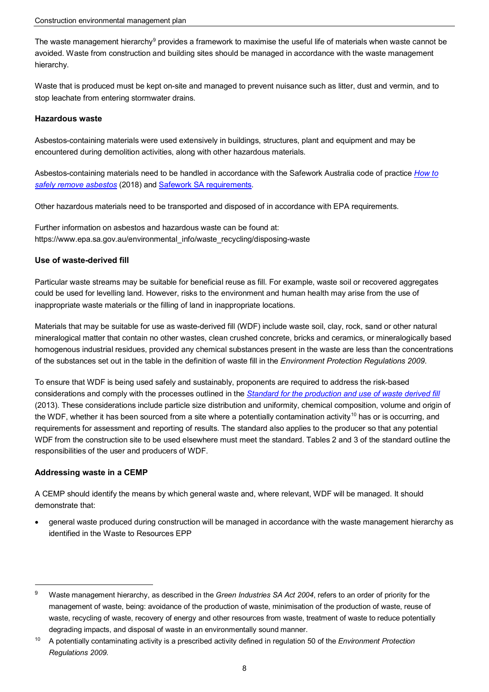The waste management hierarchy<sup>9</sup> provides a framework to maximise the useful life of materials when waste cannot be avoided. Waste from construction and building sites should be managed in accordance with the waste management hierarchy.

Waste that is produced must be kept on-site and managed to prevent nuisance such as litter, dust and vermin, and to stop leachate from entering stormwater drains.

#### **Hazardous waste**

 encountered during demolition activities, along with other hazardous materials. Asbestos-containing materials were used extensively in buildings, structures, plant and equipment and may be

Asbestos-containing materials need to be handled in accordance with the Safework Australia code of practice *[How to](https://www.safeworkaustralia.gov.au/doc/model-code-practice-how-safely-remove-asbestos)  [safely remove asbestos](https://www.safeworkaustralia.gov.au/doc/model-code-practice-how-safely-remove-asbestos)* (2018) and [Safework SA requirements.](https://www.safework.sa.gov.au/workplaces/chemicals-substances-and-explosives/asbestos) 

Other hazardous materials need to be transported and disposed of in accordance with EPA requirements.

Further information on asbestos and hazardous waste can be found at: [https://www.epa.sa.gov.au/environmental\\_info/waste\\_recycling/disposing-waste](https://www.epa.sa.gov.au/environmental_info/waste_recycling/disposing-waste)

#### **Use of waste-derived fill**

Particular waste streams may be suitable for beneficial reuse as fill. For example, waste soil or recovered aggregates could be used for levelling land. However, risks to the environment and human health may arise from the use of inappropriate waste materials or the filling of land in inappropriate locations.

 Materials that may be suitable for use as waste-derived fill (WDF) include waste soil, clay, rock, sand or other natural of the substances set out in the table in the definition of waste fill in the *Environment Protection Regulations 2009*. mineralogical matter that contain no other wastes, clean crushed concrete, bricks and ceramics, or mineralogically based homogenous industrial residues, provided any chemical substances present in the waste are less than the concentrations

the WDF, whether it has been sourced from a site where a potentially contamination activity[10](#page-7-1) has or is occurring, and requirements for assessment and reporting of results. The standard also applies to the producer so that any potential To ensure that WDF is being used safely and sustainably, proponents are required to address the risk-based considerations and comply with the processes outlined in the *[Standard for the production and use of waste derived fill](http://www.epa.sa.gov.au/files/4771359_standard_wdf.pdf)*  (2013). These considerations include particle size distribution and uniformity, chemical composition, volume and origin of WDF from the construction site to be used elsewhere must meet the standard. Tables 2 and 3 of the standard outline the responsibilities of the user and producers of WDF.

#### **Addressing waste in a CEMP**

1

 A CEMP should identify the means by which general waste and, where relevant, WDF will be managed. It should demonstrate that:

• general waste produced during construction will be managed in accordance with the waste management hierarchy as identified in the Waste to Resources EPP

<span id="page-7-0"></span> $^9$  Waste management hierarchy, as described in the *Green Industries SA Act 2004,* refers to an order of priority for the management of waste, being: avoidance of the production of waste, minimisation of the production of waste, reuse of waste, recycling of waste, recovery of energy and other resources from waste, treatment of waste to reduce potentially degrading impacts, and disposal of waste in an environmentally sound manner.

<span id="page-7-1"></span> $10$  *Regulations 2009*. 10 A potentially contaminating activity is a prescribed activity defined in regulation 50 of the *Environment Protection*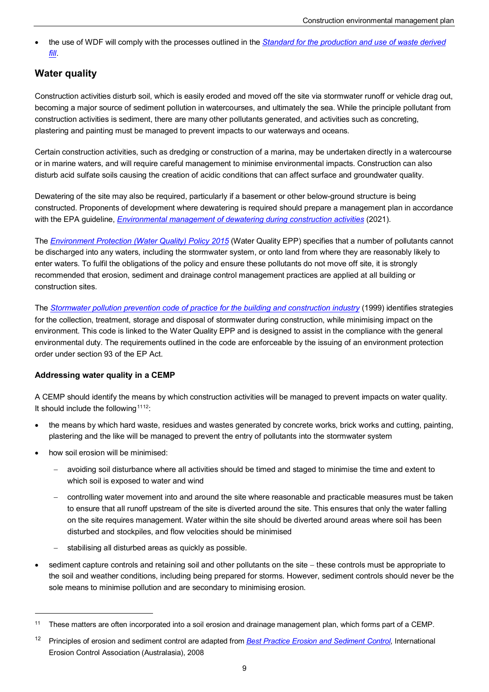• the use of WDF will comply with the processes outlined in the *[Standard for the production and use of waste derived](http://www.epa.sa.gov.au/files/4771359_standard_wdf.pdf)  [fill](http://www.epa.sa.gov.au/files/4771359_standard_wdf.pdf)*.

### **Water quality**

 becoming a major source of sediment pollution in watercourses, and ultimately the sea. While the principle pollutant from Construction activities disturb soil, which is easily eroded and moved off the site via stormwater runoff or vehicle drag out, construction activities is sediment, there are many other pollutants generated, and activities such as concreting, plastering and painting must be managed to prevent impacts to our waterways and oceans.

Certain construction activities, such as dredging or construction of a marina, may be undertaken directly in a watercourse or in marine waters, and will require careful management to minimise environmental impacts. Construction can also disturb acid sulfate soils causing the creation of acidic conditions that can affect surface and groundwater quality.

 Dewatering of the site may also be required, particularly if a basement or other below-ground structure is being constructed. Proponents of development where dewatering is required should prepare a management plan in accordance with the EPA guideline, *[Environmental management of dewatering during construction activities](https://www.epa.sa.gov.au/files/12275_guide_dewatering.pdf)* (2021).

 be discharged into any waters, including the stormwater system, or onto land from where they are reasonably likely to enter waters. To fulfil the obligations of the policy and ensure these pollutants do not move off site, it is strongly The *[Environment Protection \(Water Quality\) Policy 2015](http://www.epa.sa.gov.au/data_and_publications/standards_and_laws/revision_of_national_guidelines)* (Water Quality EPP) specifies that a number of pollutants cannot recommended that erosion, sediment and drainage control management practices are applied at all building or construction sites.

 The *[Stormwater pollution prevention code of practice for the building and construction industry](http://www.epa.sa.gov.au/files/47790_bccop1.pdf)* (1999) identifies strategies for the collection, treatment, storage and disposal of stormwater during construction, while minimising impact on the environment. This code is linked to the Water Quality EPP and is designed to assist in the compliance with the general environmental duty. The requirements outlined in the code are enforceable by the issuing of an environment protection order under section 93 of the EP Act.

#### **Addressing water quality in a CEMP**

A CEMP should identify the means by which construction activities will be managed to prevent impacts on water quality. It should include the following  $1112$  $1112$ :

- the means by which hard waste, residues and wastes generated by concrete works, brick works and cutting, painting, plastering and the like will be managed to prevent the entry of pollutants into the stormwater system
- how soil erosion will be minimised:

l

- − avoiding soil disturbance where all activities should be timed and staged to minimise the time and extent to which soil is exposed to water and wind
- on the site requires management. Water within the site should be diverted around areas where soil has been − controlling water movement into and around the site where reasonable and practicable measures must be taken to ensure that all runoff upstream of the site is diverted around the site. This ensures that only the water falling disturbed and stockpiles, and flow velocities should be minimised
- stabilising all disturbed areas as quickly as possible.
- sediment capture controls and retaining soil and other pollutants on the site − these controls must be appropriate to the soil and weather conditions, including being prepared for storms. However, sediment controls should never be the sole means to minimise pollution and are secondary to minimising erosion.

<span id="page-8-0"></span><sup>11</sup> These matters are often incorporated into a soil erosion and drainage management plan, which forms part of a CEMP.

<span id="page-8-1"></span> 12 Principles of erosion and sediment control are adapted from *[Best Practice Erosion and Sediment Control](https://www.austieca.com.au/publications/best-practice-erosion-and-sediment-control-bpesc-document)*, International Erosion Control Association (Australasia), 2008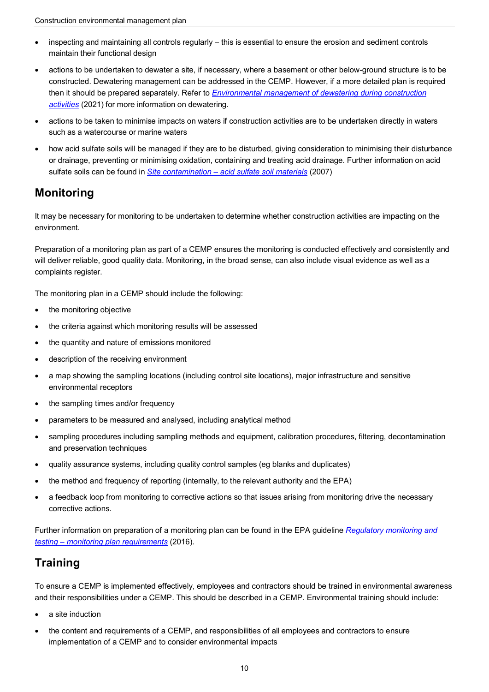- inspecting and maintaining all controls regularly − this is essential to ensure the erosion and sediment controls maintain their functional design
- then it should be prepared separately. Refer to *[Environmental management of dewatering during construction](http://www.epa.sa.gov.au/files/12275_guide_dewatering.pdf)  [activities](http://www.epa.sa.gov.au/files/12275_guide_dewatering.pdf)* (2021) for more information on dewatering. • actions to be undertaken to dewater a site, if necessary, where a basement or other below-ground structure is to be constructed. Dewatering management can be addressed in the CEMP. However, if a more detailed plan is required
- • actions to be taken to minimise impacts on waters if construction activities are to be undertaken directly in waters such as a watercourse or marine waters
- or drainage, preventing or minimising oxidation, containing and treating acid drainage. Further information on acid • how acid sulfate soils will be managed if they are to be disturbed, giving consideration to minimising their disturbance sulfate soils can be found in *[Site contamination – acid sulfate soil materials](http://www.epa.sa.gov.au/files/8371_guide_sc_acid.pdf)* (2007)

## **Monitoring**

It may be necessary for monitoring to be undertaken to determine whether construction activities are impacting on the environment.

Preparation of a monitoring plan as part of a CEMP ensures the monitoring is conducted effectively and consistently and will deliver reliable, good quality data. Monitoring, in the broad sense, can also include visual evidence as well as a complaints register.

The monitoring plan in a CEMP should include the following:

- the monitoring objective
- the criteria against which monitoring results will be assessed
- the quantity and nature of emissions monitored
- description of the receiving environment
- a map showing the sampling locations (including control site locations), major infrastructure and sensitive environmental receptors
- the sampling times and/or frequency
- parameters to be measured and analysed, including analytical method
- sampling procedures including sampling methods and equipment, calibration procedures, filtering, decontamination and preservation techniques
- quality assurance systems, including quality control samples (eg blanks and duplicates)
- the method and frequency of reporting (internally, to the relevant authority and the EPA)
- • a feedback loop from monitoring to corrective actions so that issues arising from monitoring drive the necessary corrective actions.

Further information on preparation of a monitoring plan can be found in the EPA guideline *[Regulatory monitoring and](http://www.epa.sa.gov.au/files/4771367_guide_mpr.pdf)  [testing – monitoring plan requirements](http://www.epa.sa.gov.au/files/4771367_guide_mpr.pdf)* (2016).

## **Training**

To ensure a CEMP is implemented effectively, employees and contractors should be trained in environmental awareness and their responsibilities under a CEMP. This should be described in a CEMP. Environmental training should include:

- a site induction
- implementation of a CEMP and to consider environmental impacts • the content and requirements of a CEMP, and responsibilities of all employees and contractors to ensure